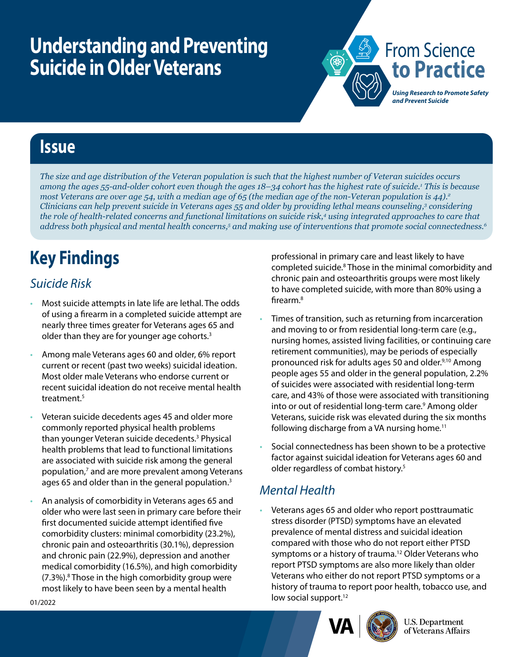## **Understanding and Preventing Suicide in Older Veterans**



### **Issue**

*The size and age distribution of the Veteran population is such that the highest number of Veteran suicides occurs among the ages 55-and-older cohort even though the ages 18–34 cohort has the highest rate of suicide.1 This is because most Veterans are over age 54, with a median age of 65 (the median age of the non-Veteran population is 44).*<sup>2</sup> *Clinicians can help prevent suicide in Veterans ages 55 and older by providing lethal means counseling,3 considering the role of health-related concerns and functional limitations on suicide risk,4 using integrated approaches to care that*  address both physical and mental health concerns,<sup>5</sup> and making use of interventions that promote social connectedness.<sup>6</sup>

# **Key Findings**

#### *Suicide Risk*

- Most suicide attempts in late life are lethal. The odds of using a firearm in a completed suicide attempt are nearly three times greater for Veterans ages 65 and older than they are for younger age cohorts.<sup>3</sup>
- Among male Veterans ages 60 and older, 6% report current or recent (past two weeks) suicidal ideation. Most older male Veterans who endorse current or recent suicidal ideation do not receive mental health treatment.<sup>5</sup>
- Veteran suicide decedents ages 45 and older more commonly reported physical health problems than younger Veteran suicide decedents.<sup>3</sup> Physical health problems that lead to functional limitations are associated with suicide risk among the general population,<sup>7</sup> and are more prevalent among Veterans ages 65 and older than in the general population.<sup>3</sup>
- An analysis of comorbidity in Veterans ages 65 and older who were last seen in primary care before their first documented suicide attempt identified five comorbidity clusters: minimal comorbidity (23.2%), chronic pain and osteoarthritis (30.1%), depression and chronic pain (22.9%), depression and another medical comorbidity (16.5%), and high comorbidity (7.3%).<sup>8</sup> Those in the high comorbidity group were most likely to have been seen by a mental health

professional in primary care and least likely to have completed suicide.<sup>8</sup> Those in the minimal comorbidity and chronic pain and osteoarthritis groups were most likely to have completed suicide, with more than 80% using a firearm.8

- Times of transition, such as returning from incarceration and moving to or from residential long-term care (e.g., nursing homes, assisted living facilities, or continuing care retirement communities), may be periods of especially pronounced risk for adults ages 50 and older.<sup>9,10</sup> Among people ages 55 and older in the general population, 2.2% of suicides were associated with residential long-term care, and 43% of those were associated with transitioning into or out of residential long-term care.<sup>9</sup> Among older Veterans, suicide risk was elevated during the six months following discharge from a VA nursing home.<sup>11</sup>
- Social connectedness has been shown to be a protective factor against suicidal ideation for Veterans ages 60 and older regardless of combat history.5

#### *Mental Health*

• Veterans ages 65 and older who report posttraumatic stress disorder (PTSD) symptoms have an elevated prevalence of mental distress and suicidal ideation compared with those who do not report either PTSD symptoms or a history of trauma.<sup>12</sup> Older Veterans who report PTSD symptoms are also more likely than older Veterans who either do not report PTSD symptoms or a history of trauma to report poor health, tobacco use, and low social support.<sup>12</sup>





**U.S. Department** of Veterans Affairs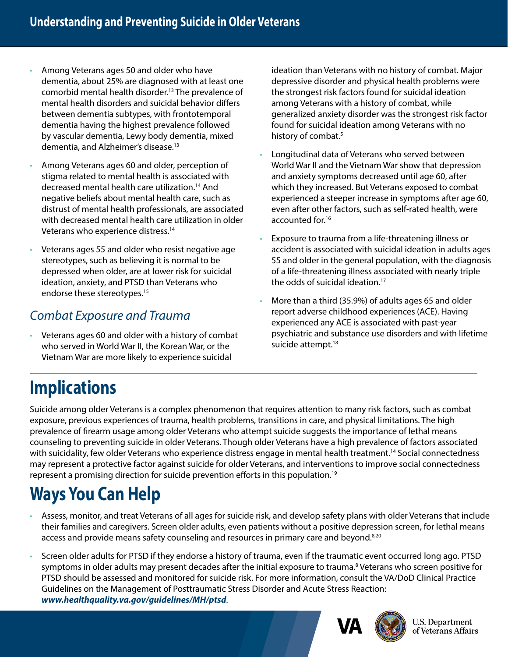- Among Veterans ages 50 and older who have dementia, about 25% are diagnosed with at least one comorbid mental health disorder.13 The prevalence of mental health disorders and suicidal behavior differs between dementia subtypes, with frontotemporal dementia having the highest prevalence followed by vascular dementia, Lewy body dementia, mixed dementia, and Alzheimer's disease.13
- Among Veterans ages 60 and older, perception of stigma related to mental health is associated with decreased mental health care utilization.<sup>14</sup> And negative beliefs about mental health care, such as distrust of mental health professionals, are associated with decreased mental health care utilization in older Veterans who experience distress.14
- Veterans ages 55 and older who resist negative age stereotypes, such as believing it is normal to be depressed when older, are at lower risk for suicidal ideation, anxiety, and PTSD than Veterans who endorse these stereotypes.<sup>15</sup>

#### *Combat Exposure and Trauma*

• Veterans ages 60 and older with a history of combat who served in World War II, the Korean War, or the Vietnam War are more likely to experience suicidal

ideation than Veterans with no history of combat. Major depressive disorder and physical health problems were the strongest risk factors found for suicidal ideation among Veterans with a history of combat, while generalized anxiety disorder was the strongest risk factor found for suicidal ideation among Veterans with no history of combat.<sup>5</sup>

- Longitudinal data of Veterans who served between World War II and the Vietnam War show that depression and anxiety symptoms decreased until age 60, after which they increased. But Veterans exposed to combat experienced a steeper increase in symptoms after age 60, even after other factors, such as self-rated health, were accounted for.16
- Exposure to trauma from a life-threatening illness or accident is associated with suicidal ideation in adults ages 55 and older in the general population, with the diagnosis of a life-threatening illness associated with nearly triple the odds of suicidal ideation.<sup>17</sup>
- More than a third (35.9%) of adults ages 65 and older report adverse childhood experiences (ACE). Having experienced any ACE is associated with past-year psychiatric and substance use disorders and with lifetime suicide attempt.<sup>18</sup>

### **Implications**

Suicide among older Veterans is a complex phenomenon that requires attention to many risk factors, such as combat exposure, previous experiences of trauma, health problems, transitions in care, and physical limitations. The high prevalence of firearm usage among older Veterans who attempt suicide suggests the importance of lethal means counseling to preventing suicide in older Veterans. Though older Veterans have a high prevalence of factors associated with suicidality, few older Veterans who experience distress engage in mental health treatment.<sup>14</sup> Social connectedness may represent a protective factor against suicide for older Veterans, and interventions to improve social connectedness represent a promising direction for suicide prevention efforts in this population.19

## **Ways You Can Help**

- Assess, monitor, and treat Veterans of all ages for suicide risk, and develop safety plans with older Veterans that include their families and caregivers. Screen older adults, even patients without a positive depression screen, for lethal means access and provide means safety counseling and resources in primary care and beyond.<sup>8,20</sup>
- Screen older adults for PTSD if they endorse a history of trauma, even if the traumatic event occurred long ago. PTSD symptoms in older adults may present decades after the initial exposure to trauma.<sup>8</sup> Veterans who screen positive for PTSD should be assessed and monitored for suicide risk. For more information, consult the VA/DoD Clinical Practice Guidelines on the Management of Posttraumatic Stress Disorder and Acute Stress Reaction: *[www.healthquality.va.gov/guidelines/MH/ptsd](https://www.healthquality.va.gov/guidelines/MH/ptsd/)*.



U.S. Department of Veterans Affairs